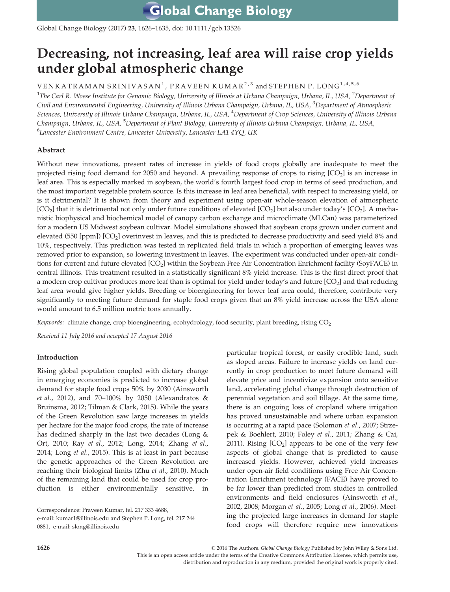Global Change Biology (2017) 23, 1626–1635, doi: 10.1111/gcb.13526

# Decreasing, not increasing, leaf area will raise crop yields under global atmospheric change

 $\rm{VENKATRAMAN~SRINIVASAN}^{1}$  ,  $\rm{PRAVEEN~KUMAR}^{2,3}$  and  $\rm{STEPHEN~P.}$  LONG  $^{1,4,5,6}$ 

1 *The Carl R. Woese Institute for Genomic Biology, University of Illinois at Urbana Champaign, Urbana, IL, USA,* <sup>2</sup>*Department of Civil and Environmental Engineering, University of Illinois Urbana Champaign, Urbana, IL, USA,* <sup>3</sup>*Department of Atmospheric Sciences, University of Illinois Urbana Champaign, Urbana, IL, USA,* <sup>4</sup>*Department of Crop Sciences, University of Illinois Urbana Champaign, Urbana, IL, USA,* <sup>5</sup>*Department of Plant Biology, University of Illinois Urbana Champaign, Urbana, IL, USA,* 6 *Lancaster Environment Centre, Lancaster University, Lancaster LA1 4YQ, UK*

# Abstract

Without new innovations, present rates of increase in yields of food crops globally are inadequate to meet the projected rising food demand for 2050 and beyond. A prevailing response of crops to rising  $[CO<sub>2</sub>]$  is an increase in leaf area. This is especially marked in soybean, the world's fourth largest food crop in terms of seed production, and the most important vegetable protein source. Is this increase in leaf area beneficial, with respect to increasing yield, or is it detrimental? It is shown from theory and experiment using open-air whole-season elevation of atmospheric  $\rm [CO_2]$  that it is detrimental not only under future conditions of elevated  $\rm [CO_2]$  but also under today's  $\rm [CO_2]$ . A mechanistic biophysical and biochemical model of canopy carbon exchange and microclimate (MLCan) was parameterized for a modern US Midwest soybean cultivar. Model simulations showed that soybean crops grown under current and elevated (550 [ppm]) [CO<sub>2</sub>] overinvest in leaves, and this is predicted to decrease productivity and seed yield 8% and 10%, respectively. This prediction was tested in replicated field trials in which a proportion of emerging leaves was removed prior to expansion, so lowering investment in leaves. The experiment was conducted under open-air conditions for current and future elevated [CO<sup>2</sup> ] within the Soybean Free Air Concentration Enrichment facility (SoyFACE) in central Illinois. This treatment resulted in a statistically significant 8% yield increase. This is the first direct proof that a modern crop cultivar produces more leaf than is optimal for yield under today's and future [CO<sub>2</sub>] and that reducing leaf area would give higher yields. Breeding or bioengineering for lower leaf area could, therefore, contribute very significantly to meeting future demand for staple food crops given that an 8% yield increase across the USA alone would amount to 6.5 million metric tons annually.

*Keywords:* climate change, crop bioengineering, ecohydrology, food security, plant breeding, rising CO<sub>2</sub>

*Received 11 July 2016 and accepted 17 August 2016*

# Introduction

Rising global population coupled with dietary change in emerging economies is predicted to increase global demand for staple food crops 50% by 2030 (Ainsworth *et al.*, 2012), and 70–100% by 2050 (Alexandratos & Bruinsma, 2012; Tilman & Clark, 2015). While the years of the Green Revolution saw large increases in yields per hectare for the major food crops, the rate of increase has declined sharply in the last two decades (Long & Ort, 2010; Ray *et al.*, 2012; Long, 2014; Zhang *et al.*, 2014; Long *et al.*, 2015). This is at least in part because the genetic approaches of the Green Revolution are reaching their biological limits (Zhu *et al.*, 2010). Much of the remaining land that could be used for crop production is either environmentally sensitive, in

Correspondence: Praveen Kumar, tel. 217 333 4688,

e-mail: kumar1@illinois.edu and Stephen P. Long, tel. 217 244 0881, e-mail: slong@illinois.edu

particular tropical forest, or easily erodible land, such as sloped areas. Failure to increase yields on land currently in crop production to meet future demand will elevate price and incentivize expansion onto sensitive land, accelerating global change through destruction of perennial vegetation and soil tillage. At the same time, there is an ongoing loss of cropland where irrigation has proved unsustainable and where urban expansion is occurring at a rapid pace (Solomon *et al.*, 2007; Strzepek & Boehlert, 2010; Foley *et al.*, 2011; Zhang & Cai, 2011). Rising  $[CO<sub>2</sub>]$  appears to be one of the very few aspects of global change that is predicted to cause increased yields. However, achieved yield increases under open-air field conditions using Free Air Concentration Enrichment technology (FACE) have proved to be far lower than predicted from studies in controlled environments and field enclosures (Ainsworth *et al.*, 2002, 2008; Morgan *et al.*, 2005; Long *et al.*, 2006). Meeting the projected large increases in demand for staple food crops will therefore require new innovations

1626 © 2016 The Authors. *Global Change Biology* Published by John Wiley & Sons Ltd. This is an open access article under the terms of the Creative Commons Attribution License, which permits use, distribution and reproduction in any medium, provided the original work is properly cited.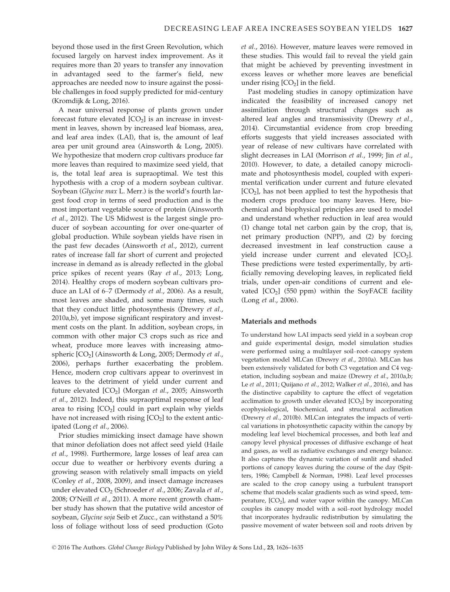beyond those used in the first Green Revolution, which focused largely on harvest index improvement. As it requires more than 20 years to transfer any innovation in advantaged seed to the farmer's field, new approaches are needed now to insure against the possible challenges in food supply predicted for mid-century (Kromdijk & Long, 2016).

A near universal response of plants grown under forecast future elevated  $[CO<sub>2</sub>]$  is an increase in investment in leaves, shown by increased leaf biomass, area, and leaf area index (LAI), that is, the amount of leaf area per unit ground area (Ainsworth & Long, 2005). We hypothesize that modern crop cultivars produce far more leaves than required to maximize seed yield, that is, the total leaf area is supraoptimal. We test this hypothesis with a crop of a modern soybean cultivar. Soybean (*Glycine max* L. Merr.) is the world's fourth largest food crop in terms of seed production and is the most important vegetable source of protein (Ainsworth *et al.*, 2012). The US Midwest is the largest single producer of soybean accounting for over one-quarter of global production. While soybean yields have risen in the past few decades (Ainsworth *et al.*, 2012), current rates of increase fall far short of current and projected increase in demand as is already reflected in the global price spikes of recent years (Ray *et al.*, 2013; Long, 2014). Healthy crops of modern soybean cultivars produce an LAI of 6–7 (Dermody *et al.*, 2006). As a result, most leaves are shaded, and some many times, such that they conduct little photosynthesis (Drewry *et al.*, 2010a,b), yet impose significant respiratory and investment costs on the plant. In addition, soybean crops, in common with other major C3 crops such as rice and wheat, produce more leaves with increasing atmospheric [CO<sup>2</sup> ] (Ainsworth & Long, 2005; Dermody *et al.*, 2006), perhaps further exacerbating the problem. Hence, modern crop cultivars appear to overinvest in leaves to the detriment of yield under current and future elevated [CO<sup>2</sup> ] (Morgan *et al.*, 2005; Ainsworth *et al.*, 2012). Indeed, this supraoptimal response of leaf area to rising  $\text{[CO}_2\text{]}$  could in part explain why yields have not increased with rising [CO<sub>2</sub>] to the extent anticipated (Long *et al.*, 2006).

Prior studies mimicking insect damage have shown that minor defoliation does not affect seed yield (Haile *et al.*, 1998). Furthermore, large losses of leaf area can occur due to weather or herbivory events during a growing season with relatively small impacts on yield (Conley *et al.*, 2008, 2009), and insect damage increases under elevated CO<sup>2</sup> (Schroeder *et al.*, 2006; Zavala *et al.*, 2008; O'Neill *et al.*, 2011). A more recent growth chamber study has shown that the putative wild ancestor of soybean, *Glycine soja* Seib et Zucc., can withstand a 50% loss of foliage without loss of seed production (Goto *et al.*, 2016). However, mature leaves were removed in these studies. This would fail to reveal the yield gain that might be achieved by preventing investment in excess leaves or whether more leaves are beneficial under rising  $\text{[CO}_2\text{]}$  in the field.

Past modeling studies in canopy optimization have indicated the feasibility of increased canopy net assimilation through structural changes such as altered leaf angles and transmissivity (Drewry *et al.*, 2014). Circumstantial evidence from crop breeding efforts suggests that yield increases associated with year of release of new cultivars have correlated with slight decreases in LAI (Morrison *et al.*, 1999; Jin *et al.*, 2010). However, to date, a detailed canopy microclimate and photosynthesis model, coupled with experimental verification under current and future elevated  $[CO<sub>2</sub>]$ , has not been applied to test the hypothesis that modern crops produce too many leaves. Here, biochemical and biophysical principles are used to model and understand whether reduction in leaf area would (1) change total net carbon gain by the crop, that is, net primary production (NPP), and (2) by forcing decreased investment in leaf construction cause a yield increase under current and elevated  $[CO<sub>2</sub>]$ . These predictions were tested experimentally, by artificially removing developing leaves, in replicated field trials, under open-air conditions of current and elevated  $[CO<sub>2</sub>]$  (550 ppm) within the SoyFACE facility (Long *et al.*, 2006).

## Materials and methods

To understand how LAI impacts seed yield in a soybean crop and guide experimental design, model simulation studies were performed using a multilayer soil–root–canopy system vegetation model MLCan (Drewry *et al.*, 2010a). MLCan has been extensively validated for both C3 vegetation and C4 vegetation, including soybean and maize (Drewry *et al.*, 2010a,b; Le *et al.*, 2011; Quijano *et al.*, 2012; Walker *et al.*, 2016), and has the distinctive capability to capture the effect of vegetation acclimation to growth under elevated  $[CO<sub>2</sub>]$  by incorporating ecophysiological, biochemical, and structural acclimation (Drewry *et al.*, 2010b). MLCan integrates the impacts of vertical variations in photosynthetic capacity within the canopy by modeling leaf level biochemical processes, and both leaf and canopy level physical processes of diffusive exchange of heat and gases, as well as radiative exchanges and energy balance. It also captures the dynamic variation of sunlit and shaded portions of canopy leaves during the course of the day (Spitters, 1986; Campbell & Norman, 1998). Leaf level processes are scaled to the crop canopy using a turbulent transport scheme that models scalar gradients such as wind speed, temperature,  $[CO<sub>2</sub>]$ , and water vapor within the canopy. MLCan couples its canopy model with a soil–root hydrology model that incorporates hydraulic redistribution by simulating the passive movement of water between soil and roots driven by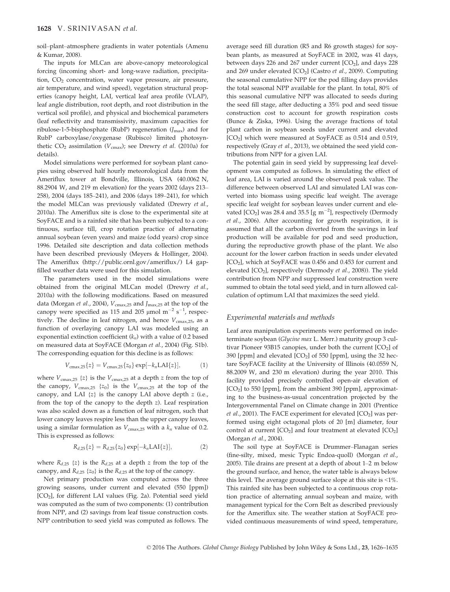soil–plant–atmosphere gradients in water potentials (Amenu & Kumar, 2008).

The inputs for MLCan are above-canopy meteorological forcing (incoming short- and long-wave radiation, precipitation, CO<sub>2</sub> concentration, water vapor pressure, air pressure, air temperature, and wind speed), vegetation structural properties (canopy height, LAI, vertical leaf area profile (VLAP), leaf angle distribution, root depth, and root distribution in the vertical soil profile), and physical and biochemical parameters (leaf reflectivity and transmissivity, maximum capacities for ribulose-1-5-bisphosphate (RubP) regeneration (*J*max) and for RubP carboxylase/oxygenase (Rubisco) limited photosynthetic  $CO_2$  assimilation  $(V_{cmax})$ ; see Drewry *et al.* (2010a) for details).

Model simulations were performed for soybean plant canopies using observed half hourly meteorological data from the Ameriflux tower at Bondville, Illinois, USA (40.0062 N, 88.2904 W, and 219 m elevation) for the years 2002 (days 213– 258), 2004 (days 185–241), and 2006 (days 189–241), for which the model MLCan was previously validated (Drewry *et al.*, 2010a). The Ameriflux site is close to the experimental site at SoyFACE and is a rainfed site that has been subjected to a continuous, surface till, crop rotation practice of alternating annual soybean (even years) and maize (odd years) crop since 1996. Detailed site description and data collection methods have been described previously (Meyers & Hollinger, 2004). The Ameriflux (http://public.ornl.gov/ameriflux/) L4 gapfilled weather data were used for this simulation.

The parameters used in the model simulations were obtained from the original MLCan model (Drewry *et al.*, 2010a) with the following modifications. Based on measured data (Morgan *et al.*, 2004),  $V_{\text{cmax},25}$  and  $J_{\text{max},25}$  at the top of the canopy were specified as 115 and 205  $\mu$ mol m<sup>-2</sup> s<sup>-1</sup>, respectively. The decline in leaf nitrogen, and hence  $V_{\text{cmax},25}$ , as a function of overlaying canopy LAI was modeled using an exponential extinction coefficient (*kn*) with a value of 0.2 based on measured data at SoyFACE (Morgan *et al.*, 2004) (Fig. S1b). The corresponding equation for this decline is as follows:

$$
V_{\text{cmax},25}\{z\} = V_{\text{cmax},25}\{z_0\} \exp[-k_n \text{LAI}\{z\}],\tag{1}
$$

where  $V_{\text{cmax},25}$  { $z$ } is the  $V_{\text{cmax},25}$  at a depth  $z$  from the top of the canopy,  $V_{\text{cmax},25}$  { $z_0$ } is the  $V_{\text{cmax},25}$  at the top of the canopy, and LAI {*z*} is the canopy LAI above depth *z* (i.e., from the top of the canopy to the depth *z*). Leaf respiration was also scaled down as a function of leaf nitrogen, such that lower canopy leaves respire less than the upper canopy leaves, using a similar formulation as  $V_{\text{cmax},25}$  with a  $k_n$  value of 0.2. This is expressed as follows:

$$
R_{d,25}\{z\} = R_{d,25}\{z_0\} \exp[-k_n \text{LAI}\{z\}],\tag{2}
$$

where  $R_{d,25}$  {*z*} is the  $R_{d,25}$  at a depth *z* from the top of the canopy, and  $R_{d,25}$  { $z_0$ } is the  $R_{d,25}$  at the top of the canopy.

Net primary production was computed across the three growing seasons, under current and elevated (550 [ppm]) [CO2], for different LAI values (Fig. 2a). Potential seed yield was computed as the sum of two components: (1) contribution from NPP, and (2) savings from leaf tissue construction costs. NPP contribution to seed yield was computed as follows. The average seed fill duration (R5 and R6 growth stages) for soybean plants, as measured at SoyFACE in 2002, was 41 days, between days 226 and 267 under current  $[CO<sub>2</sub>]$ , and days 228 and 269 under elevated [CO<sub>2</sub>] (Castro *et al.*, 2009). Computing the seasonal cumulative NPP for the pod filling days provides the total seasonal NPP available for the plant. In total, 80% of this seasonal cumulative NPP was allocated to seeds during the seed fill stage, after deducting a 35% pod and seed tissue construction cost to account for growth respiration costs (Bunce & Ziska, 1996). Using the average fractions of total plant carbon in soybean seeds under current and elevated [CO<sub>2</sub>] which were measured at SoyFACE as 0.514 and 0.519, respectively (Gray *et al.*, 2013), we obtained the seed yield contributions from NPP for a given LAI.

The potential gain in seed yield by suppressing leaf development was computed as follows. In simulating the effect of leaf area, LAI is varied around the observed peak value. The difference between observed LAI and simulated LAI was converted into biomass using specific leaf weight. The average specific leaf weight for soybean leaves under current and elevated  $[CO_2]$  was 28.4 and 35.5  $[g \ m^{-2}]$ , respectively (Dermody *et al.*, 2006). After accounting for growth respiration, it is assumed that all the carbon diverted from the savings in leaf production will be available for pod and seed production, during the reproductive growth phase of the plant. We also account for the lower carbon fraction in seeds under elevated [CO<sub>2</sub>], which at SoyFACE was 0.456 and 0.453 for current and elevated [CO<sub>2</sub>], respectively (Dermody *et al.*, 2008)). The yield contribution from NPP and suppressed leaf construction were summed to obtain the total seed yield, and in turn allowed calculation of optimum LAI that maximizes the seed yield.

## *Experimental materials and methods*

Leaf area manipulation experiments were performed on indeterminate soybean (*Glycine max* L. Merr.) maturity group 3 cultivar Pioneer 93B15 canopies, under both the current [CO<sub>2</sub>] of 390 [ppm] and elevated  $[CO<sub>2</sub>]$  of 550 [ppm], using the 32 hectare SoyFACE facility at the University of Illinois (40.0559 N, 88.2009 W, and 230 m elevation) during the year 2010. This facility provided precisely controlled open-air elevation of [CO2] to 550 [ppm], from the ambient 390 [ppm], approximating to the business-as-usual concentration projected by the Intergovernmental Panel on Climate change in 2001 (Prentice *et al.*, 2001). The FACE experiment for elevated [CO<sub>2</sub>] was performed using eight octagonal plots of 20 [m] diameter, four control at current  $[CO_2]$  and four treatment at elevated  $[CO_2]$ (Morgan *et al.*, 2004).

The soil type at SoyFACE is Drummer–Flanagan series (fine-silty, mixed, mesic Typic Endoa-quoll) (Morgan *et al.*, 2005). Tile drains are present at a depth of about 1–2 m below the ground surface, and hence, the water table is always below this level. The average ground surface slope at this site is <1%. This rainfed site has been subjected to a continuous crop rotation practice of alternating annual soybean and maize, with management typical for the Corn Belt as described previously for the Ameriflux site. The weather station at SoyFACE provided continuous measurements of wind speed, temperature,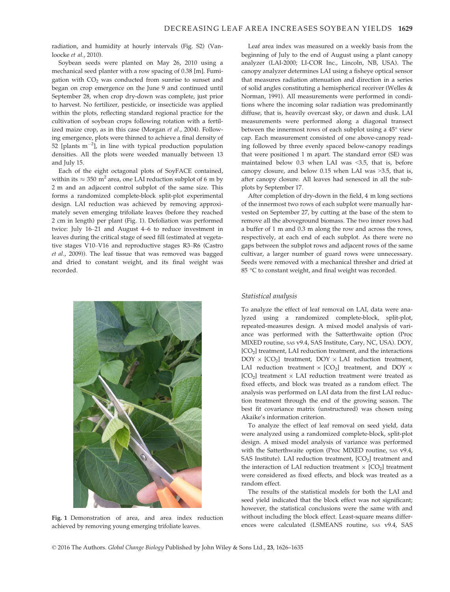radiation, and humidity at hourly intervals (Fig. S2) (Vanloocke *et al.*, 2010).

Soybean seeds were planted on May 26, 2010 using a mechanical seed planter with a row spacing of 0.38 [m]. Fumigation with  $CO<sub>2</sub>$  was conducted from sunrise to sunset and began on crop emergence on the June 9 and continued until September 28, when crop dry-down was complete, just prior to harvest. No fertilizer, pesticide, or insecticide was applied within the plots, reflecting standard regional practice for the cultivation of soybean crops following rotation with a fertilized maize crop, as in this case (Morgan *et al.*, 2004). Following emergence, plots were thinned to achieve a final density of 52 [plants  $m^{-2}$ ], in line with typical production population densities. All the plots were weeded manually between 13 and July 15.

Each of the eight octagonal plots of SoyFACE contained, within its  $\approx 350 \text{ m}^2$  area, one LAI reduction subplot of 6 m by 2 m and an adjacent control subplot of the same size. This forms a randomized complete-block split-plot experimental design. LAI reduction was achieved by removing approximately seven emerging trifoliate leaves (before they reached 2 cm in length) per plant (Fig. 1). Defoliation was performed twice: July 16–21 and August 4–6 to reduce investment in leaves during the critical stage of seed fill (estimated at vegetative stages V10–V16 and reproductive stages R3–R6 (Castro *et al.*, 2009)). The leaf tissue that was removed was bagged and dried to constant weight, and its final weight was recorded.



Fig. 1 Demonstration of area, and area index reduction achieved by removing young emerging trifoliate leaves.

Leaf area index was measured on a weekly basis from the beginning of July to the end of August using a plant canopy analyzer (LAI-2000; LI-COR Inc., Lincoln, NB, USA). The canopy analyzer determines LAI using a fisheye optical sensor that measures radiation attenuation and direction in a series of solid angles constituting a hemispherical receiver (Welles & Norman, 1991). All measurements were performed in conditions where the incoming solar radiation was predominantly diffuse, that is, heavily overcast sky, or dawn and dusk. LAI measurements were performed along a diagonal transect between the innermost rows of each subplot using a 45° view cap. Each measurement consisted of one above-canopy reading followed by three evenly spaced below-canopy readings that were positioned 1 m apart. The standard error (SE) was maintained below 0.3 when LAI was <3.5, that is, before canopy closure, and below 0.15 when LAI was >3.5, that is, after canopy closure. All leaves had senesced in all the subplots by September 17.

After completion of dry-down in the field, 4 m long sections of the innermost two rows of each subplot were manually harvested on September 27, by cutting at the base of the stem to remove all the aboveground biomass. The two inner rows had a buffer of 1 m and 0.3 m along the row and across the rows, respectively, at each end of each subplot. As there were no gaps between the subplot rows and adjacent rows of the same cultivar, a larger number of guard rows were unnecessary. Seeds were removed with a mechanical thresher and dried at 85 °C to constant weight, and final weight was recorded.

## *Statistical analysis*

To analyze the effect of leaf removal on LAI, data were analyzed using a randomized complete-block, split-plot, repeated-measures design. A mixed model analysis of variance was performed with the Satterthwaite option (Proc MIXED routine, SAS v9.4, SAS Institute, Cary, NC, USA). DOY, [CO<sub>2</sub>] treatment, LAI reduction treatment, and the interactions  $DOY \times [CO_2]$  treatment,  $DOY \times LAI$  reduction treatment, LAI reduction treatment  $\times$  [CO<sub>2</sub>] treatment, and DOY  $\times$  $[CO<sub>2</sub>]$  treatment  $\times$  LAI reduction treatment were treated as fixed effects, and block was treated as a random effect. The analysis was performed on LAI data from the first LAI reduction treatment through the end of the growing season. The best fit covariance matrix (unstructured) was chosen using Akaike's information criterion.

To analyze the effect of leaf removal on seed yield, data were analyzed using a randomized complete-block, split-plot design. A mixed model analysis of variance was performed with the Satterthwaite option (Proc MIXED routine, SAS v9.4, SAS Institute). LAI reduction treatment,  $[CO<sub>2</sub>]$  treatment and the interaction of LAI reduction treatment  $\times$  [CO<sub>2</sub>] treatment were considered as fixed effects, and block was treated as a random effect.

The results of the statistical models for both the LAI and seed yield indicated that the block effect was not significant; however, the statistical conclusions were the same with and without including the block effect. Least-square means differences were calculated (LSMEANS routine, SAS v9.4, SAS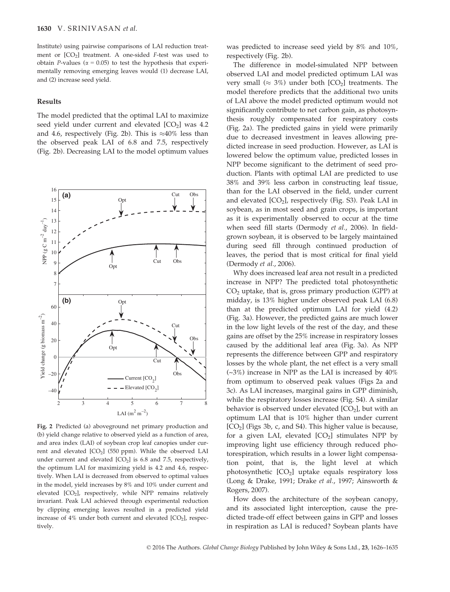Institute) using pairwise comparisons of LAI reduction treatment or  $[CO<sub>2</sub>]$  treatment. A one-sided *F*-test was used to obtain *P*-values ( $\alpha$  = 0.05) to test the hypothesis that experimentally removing emerging leaves would (1) decrease LAI, and (2) increase seed yield.

#### Results

16

The model predicted that the optimal LAI to maximize seed yield under current and elevated  $[CO<sub>2</sub>]$  was 4.2 and 4.6, respectively (Fig. 2b). This is  $\approx 40\%$  less than the observed peak LAI of 6.8 and 7.5, respectively (Fig. 2b). Decreasing LAI to the model optimum values



Fig. 2 Predicted (a) aboveground net primary production and (b) yield change relative to observed yield as a function of area, and area index (LAI) of soybean crop leaf canopies under current and elevated [CO<sub>2</sub>] (550 ppm). While the observed LAI under current and elevated  $[CO<sub>2</sub>]$  is 6.8 and 7.5, respectively, the optimum LAI for maximizing yield is 4.2 and 4.6, respectively. When LAI is decreased from observed to optimal values in the model, yield increases by 8% and 10% under current and elevated [CO2], respectively, while NPP remains relatively invariant. Peak LAI achieved through experimental reduction by clipping emerging leaves resulted in a predicted yield increase of  $4\%$  under both current and elevated  $[CO<sub>2</sub>]$ , respectively.

was predicted to increase seed yield by 8% and 10%, respectively (Fig. 2b).

The difference in model-simulated NPP between observed LAI and model predicted optimum LAI was very small ( $\approx 3\%$ ) under both [CO<sub>2</sub>] treatments. The model therefore predicts that the additional two units of LAI above the model predicted optimum would not significantly contribute to net carbon gain, as photosynthesis roughly compensated for respiratory costs (Fig. 2a). The predicted gains in yield were primarily due to decreased investment in leaves allowing predicted increase in seed production. However, as LAI is lowered below the optimum value, predicted losses in NPP become significant to the detriment of seed production. Plants with optimal LAI are predicted to use 38% and 39% less carbon in constructing leaf tissue, than for the LAI observed in the field, under current and elevated  $\text{[CO}_2\text{]}$ , respectively (Fig. S3). Peak LAI in soybean, as in most seed and grain crops, is important as it is experimentally observed to occur at the time when seed fill starts (Dermody *et al.*, 2006). In fieldgrown soybean, it is observed to be largely maintained during seed fill through continued production of leaves, the period that is most critical for final yield (Dermody *et al.*, 2006).

Why does increased leaf area not result in a predicted increase in NPP? The predicted total photosynthetic  $CO<sub>2</sub>$  uptake, that is, gross primary production (GPP) at midday, is 13% higher under observed peak LAI (6.8) than at the predicted optimum LAI for yield (4.2) (Fig. 3a). However, the predicted gains are much lower in the low light levels of the rest of the day, and these gains are offset by the 25% increase in respiratory losses caused by the additional leaf area (Fig. 3a). As NPP represents the difference between GPP and respiratory losses by the whole plant, the net effect is a very small  $(-3%)$  increase in NPP as the LAI is increased by  $40%$ from optimum to observed peak values (Figs 2a and 3c). As LAI increases, marginal gains in GPP diminish, while the respiratory losses increase (Fig. S4). A similar behavior is observed under elevated  $\text{[CO}_2\text{]}$ , but with an optimum LAI that is 10% higher than under current  $[CO<sub>2</sub>]$  (Figs 3b, c, and S4). This higher value is because, for a given LAI, elevated  $[CO<sub>2</sub>]$  stimulates NPP by improving light use efficiency through reduced photorespiration, which results in a lower light compensation point, that is, the light level at which photosynthetic  $[CO<sub>2</sub>]$  uptake equals respiratory loss (Long & Drake, 1991; Drake *et al.*, 1997; Ainsworth & Rogers, 2007).

How does the architecture of the soybean canopy, and its associated light interception, cause the predicted trade-off effect between gains in GPP and losses in respiration as LAI is reduced? Soybean plants have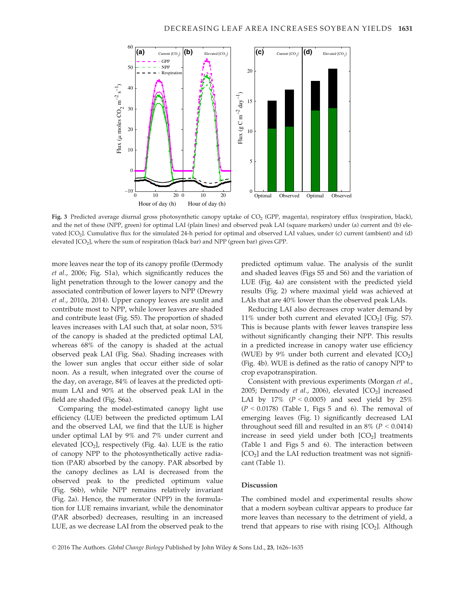

Fig. 3 Predicted average diurnal gross photosynthetic canopy uptake of CO<sub>2</sub> (GPP, magenta), respiratory efflux (respiration, black), and the net of these (NPP, green) for optimal LAI (plain lines) and observed peak LAI (square markers) under (a) current and (b) elevated [CO2]. Cumulative flux for the simulated 24-h period for optimal and observed LAI values, under (c) current (ambient) and (d) elevated [CO2], where the sum of respiration (black bar) and NPP (green bar) gives GPP.

more leaves near the top of its canopy profile (Dermody *et al.*, 2006; Fig. S1a), which significantly reduces the light penetration through to the lower canopy and the associated contribution of lower layers to NPP (Drewry *et al.*, 2010a, 2014). Upper canopy leaves are sunlit and contribute most to NPP, while lower leaves are shaded and contribute least (Fig. S5). The proportion of shaded leaves increases with LAI such that, at solar noon, 53% of the canopy is shaded at the predicted optimal LAI, whereas 68% of the canopy is shaded at the actual observed peak LAI (Fig. S6a). Shading increases with the lower sun angles that occur either side of solar noon. As a result, when integrated over the course of the day, on average, 84% of leaves at the predicted optimum LAI and 90% at the observed peak LAI in the field are shaded (Fig. S6a).

Comparing the model-estimated canopy light use efficiency (LUE) between the predicted optimum LAI and the observed LAI, we find that the LUE is higher under optimal LAI by 9% and 7% under current and elevated  $\mathcal{[CO}_2\mathcal{]}$ , respectively (Fig. 4a). LUE is the ratio of canopy NPP to the photosynthetically active radiation (PAR) absorbed by the canopy. PAR absorbed by the canopy declines as LAI is decreased from the observed peak to the predicted optimum value (Fig. S6b), while NPP remains relatively invariant (Fig. 2a). Hence, the numerator (NPP) in the formulation for LUE remains invariant, while the denominator (PAR absorbed) decreases, resulting in an increased LUE, as we decrease LAI from the observed peak to the predicted optimum value. The analysis of the sunlit and shaded leaves (Figs S5 and S6) and the variation of LUE (Fig. 4a) are consistent with the predicted yield results (Fig. 2) where maximal yield was achieved at LAIs that are 40% lower than the observed peak LAIs.

Reducing LAI also decreases crop water demand by  $11\%$  under both current and elevated  $[CO<sub>2</sub>]$  (Fig. S7). This is because plants with fewer leaves transpire less without significantly changing their NPP. This results in a predicted increase in canopy water use efficiency (WUE) by 9% under both current and elevated  $[CO<sub>2</sub>]$ (Fig. 4b). WUE is defined as the ratio of canopy NPP to crop evapotranspiration.

Consistent with previous experiments (Morgan *et al.*, 2005; Dermody *et al.,* 2006), elevated [CO<sub>2</sub>] increased LAI by  $17\%$  ( $P < 0.0005$ ) and seed yield by  $25\%$  $(P < 0.0178)$  (Table 1, Figs 5 and 6). The removal of emerging leaves (Fig. 1) significantly decreased LAI throughout seed fill and resulted in an  $8\%$  ( $P < 0.0414$ ) increase in seed yield under both  $[CO<sub>2</sub>]$  treatments (Table 1 and Figs 5 and 6). The interaction between  $[CO<sub>2</sub>]$  and the LAI reduction treatment was not significant (Table 1).

## Discussion

The combined model and experimental results show that a modern soybean cultivar appears to produce far more leaves than necessary to the detriment of yield, a trend that appears to rise with rising  $[CO<sub>2</sub>]$ . Although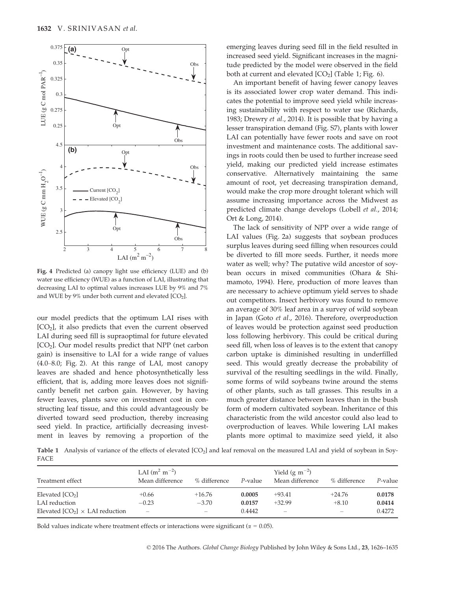

Fig. 4 Predicted (a) canopy light use efficiency (LUE) and (b) water use efficiency (WUE) as a function of LAI, illustrating that decreasing LAI to optimal values increases LUE by 9% and 7% and WUE by 9% under both current and elevated  $[CO<sub>2</sub>]$ .

our model predicts that the optimum LAI rises with  $[CO<sub>2</sub>]$ , it also predicts that even the current observed LAI during seed fill is supraoptimal for future elevated [CO<sup>2</sup> ]. Our model results predict that NPP (net carbon gain) is insensitive to LAI for a wide range of values (4.0–8.0; Fig. 2). At this range of LAI, most canopy leaves are shaded and hence photosynthetically less efficient, that is, adding more leaves does not significantly benefit net carbon gain. However, by having fewer leaves, plants save on investment cost in constructing leaf tissue, and this could advantageously be diverted toward seed production, thereby increasing seed yield. In practice, artificially decreasing investment in leaves by removing a proportion of the emerging leaves during seed fill in the field resulted in increased seed yield. Significant increases in the magnitude predicted by the model were observed in the field both at current and elevated  $[CO_2]$  (Table 1; Fig. 6).

An important benefit of having fewer canopy leaves is its associated lower crop water demand. This indicates the potential to improve seed yield while increasing sustainability with respect to water use (Richards, 1983; Drewry *et al.*, 2014). It is possible that by having a lesser transpiration demand (Fig. S7), plants with lower LAI can potentially have fewer roots and save on root investment and maintenance costs. The additional savings in roots could then be used to further increase seed yield, making our predicted yield increase estimates conservative. Alternatively maintaining the same amount of root, yet decreasing transpiration demand, would make the crop more drought tolerant which will assume increasing importance across the Midwest as predicted climate change develops (Lobell *et al.*, 2014; Ort & Long, 2014).

The lack of sensitivity of NPP over a wide range of LAI values (Fig. 2a) suggests that soybean produces surplus leaves during seed filling when resources could be diverted to fill more seeds. Further, it needs more water as well; why? The putative wild ancestor of soybean occurs in mixed communities (Ohara & Shimamoto, 1994). Here, production of more leaves than are necessary to achieve optimum yield serves to shade out competitors. Insect herbivory was found to remove an average of 30% leaf area in a survey of wild soybean in Japan (Goto *et al.*, 2016). Therefore, overproduction of leaves would be protection against seed production loss following herbivory. This could be critical during seed fill, when loss of leaves is to the extent that canopy carbon uptake is diminished resulting in underfilled seed. This would greatly decrease the probability of survival of the resulting seedlings in the wild. Finally, some forms of wild soybeans twine around the stems of other plants, such as tall grasses. This results in a much greater distance between leaves than in the bush form of modern cultivated soybean. Inheritance of this characteristic from the wild ancestor could also lead to overproduction of leaves. While lowering LAI makes plants more optimal to maximize seed yield, it also

Table 1 Analysis of variance of the effects of elevated [CO<sub>2</sub>] and leaf removal on the measured LAI and yield of soybean in Soy-FACE

| Treatment effect                       | LAI $(m^2 m^{-2})$<br>Mean difference | % difference             | P-value | Yield (g $m^{-2}$ )<br>Mean difference | % difference             | P-value |
|----------------------------------------|---------------------------------------|--------------------------|---------|----------------------------------------|--------------------------|---------|
| Elevated $[CO2]$                       | $+0.66$                               | $+16.76$                 | 0.0005  | $+93.41$                               | $+24.76$                 | 0.0178  |
| LAI reduction                          | $-0.23$                               | $-3.70$                  | 0.0157  | $+32.99$                               | $+8.10$                  | 0.0414  |
| Elevated $[CO_2] \times LAI$ reduction | $\overline{\phantom{0}}$              | $\overline{\phantom{0}}$ | 0.4442  | $\overline{\phantom{0}}$               | $\overline{\phantom{0}}$ | 0.4272  |

Bold values indicate where treatment effects or interactions were significant ( $\alpha = 0.05$ ).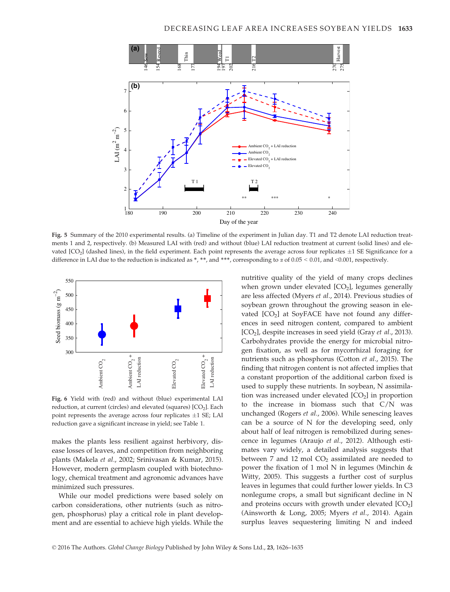

Fig. 5 Summary of the 2010 experimental results. (a) Timeline of the experiment in Julian day. T1 and T2 denote LAI reduction treatments 1 and 2, respectively. (b) Measured LAI with (red) and without (blue) LAI reduction treatment at current (solid lines) and elevated  $[CO<sub>2</sub>]$  (dashed lines), in the field experiment. Each point represents the average across four replicates  $\pm 1$  SE Significance for a difference in LAI due to the reduction is indicated as \*, \*\*, and \*\*\*, corresponding to  $\alpha$  of 0.05 < 0.01, and <0.001, respectively.



Fig. 6 Yield with (red) and without (blue) experimental LAI reduction, at current (circles) and elevated (squares)  $[CO<sub>2</sub>]$ . Each point represents the average across four replicates  $\pm 1$  SE; LAI reduction gave a significant increase in yield; see Table 1.

makes the plants less resilient against herbivory, disease losses of leaves, and competition from neighboring plants (Makela *et al.*, 2002; Srinivasan & Kumar, 2015). However, modern germplasm coupled with biotechnology, chemical treatment and agronomic advances have minimized such pressures.

While our model predictions were based solely on carbon considerations, other nutrients (such as nitrogen, phosphorus) play a critical role in plant development and are essential to achieve high yields. While the nutritive quality of the yield of many crops declines when grown under elevated  $[CO<sub>2</sub>]$ , legumes generally are less affected (Myers *et al.*, 2014). Previous studies of soybean grown throughout the growing season in elevated [CO<sub>2</sub>] at SoyFACE have not found any differences in seed nitrogen content, compared to ambient [CO<sup>2</sup> ], despite increases in seed yield (Gray *et al.*, 2013). Carbohydrates provide the energy for microbial nitrogen fixation, as well as for mycorrhizal foraging for nutrients such as phosphorus (Cotton *et al.*, 2015). The finding that nitrogen content is not affected implies that a constant proportion of the additional carbon fixed is used to supply these nutrients. In soybean, N assimilation was increased under elevated  $[CO<sub>2</sub>]$  in proportion to the increase in biomass such that C/N was unchanged (Rogers *et al.*, 2006). While senescing leaves can be a source of N for the developing seed, only about half of leaf nitrogen is remobilized during senescence in legumes (Araujo *et al.*, 2012). Although estimates vary widely, a detailed analysis suggests that between 7 and 12 mol  $CO<sub>2</sub>$  assimilated are needed to power the fixation of 1 mol N in legumes (Minchin  $\&$ Witty, 2005). This suggests a further cost of surplus leaves in legumes that could further lower yields. In C3 nonlegume crops, a small but significant decline in N and proteins occurs with growth under elevated  $[CO_2]$ (Ainsworth & Long, 2005; Myers *et al.*, 2014). Again surplus leaves sequestering limiting N and indeed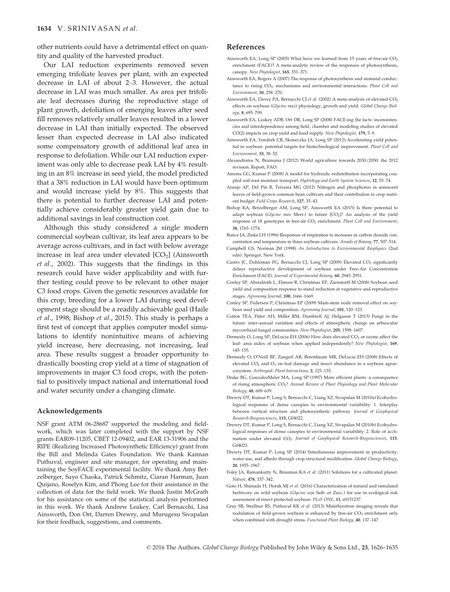other nutrients could have a detrimental effect on quantity and quality of the harvested product.

Our LAI reduction experiments removed seven emerging trifoliate leaves per plant, with an expected decrease in LAI of about 2–3. However, the actual decrease in LAI was much smaller. As area per trifoliate leaf decreases during the reproductive stage of plant growth, defoliation of emerging leaves after seed fill removes relatively smaller leaves resulted in a lower decrease in LAI than initially expected. The observed lesser than expected decrease in LAI also indicated some compensatory growth of additional leaf area in response to defoliation. While our LAI reduction experiment was only able to decrease peak LAI by 4% resulting in an 8% increase in seed yield, the model predicted that a 38% reduction in LAI would have been optimum and would increase yield by 8%. This suggests that there is potential to further decrease LAI and potentially achieve considerably greater yield gain due to additional savings in leaf construction cost.

Although this study considered a single modern commercial soybean cultivar, its leaf area appears to be average across cultivars, and in fact with below average increase in leaf area under elevated  $[CO<sub>2</sub>]$  (Ainsworth *et al.*, 2002). This suggests that the findings in this research could have wider applicability and with further testing could prove to be relevant to other major C3 food crops. Given the genetic resources available for this crop, breeding for a lower LAI during seed development stage should be a readily achievable goal (Haile *et al.*, 1998; Bishop *et al.*, 2015). This study is perhaps a first test of concept that applies computer model simulations to identify nonintuitive means of achieving yield increase, here decreasing, not increasing, leaf area. These results suggest a broader opportunity to drastically boosting crop yield at a time of stagnation of improvements in major C3 food crops, with the potential to positively impact national and international food and water security under a changing climate.

#### Acknowledgements

NSF grant ATM 06-28687 supported the modeling and fieldwork, which was later completed with the support by NSF grants EAR09-11205, CBET 12-09402, and EAR 13-31906 and the RIPE (Realizing Increased Photosynthetic Efficiency) grant from the Bill and Melinda Gates Foundation. We thank Kannan Puthuval, engineer and site manager, for operating and maintaining the SoyFACE experimental facility. We thank Amy Betzelberger, Sayo Chaoka, Patrick Schmitz, Ciaran Harman, Juan Quijano, Roselyn Kim, and Phong Lee for their assistance in the collection of data for the field work. We thank Justin McGrath for his assistance on some of the statistical analysis performed in this work. We thank Andrew Leakey, Carl Bernacchi, Lisa Ainsworth, Don Ort, Darren Drewry, and Murugesu Sivapalan for their feedback, suggestions, and comments.

#### References

- Ainsworth EA, Long SP (2005) What have we learned from 15 years of free-air CO<sub>2</sub> enrichment (FACE)? A meta-analytic review of the responses of photosynthesis, canopy. *New Phytologist*, 165, 351–371.
- Ainsworth EA, Rogers A (2007) The response of photosynthesis and stomatal conductance to rising CO<sup>2</sup> : mechanisms and environmental interactions. *Plant Cell and Environment*, 30, 258–270.
- Ainsworth EA, Davey PA, Bernacchi CJ et al. (2002) A meta-analysis of elevated CO<sub>2</sub> effects on soybean (*Glycine max*) physiology, growth and yield. *Global Change Biology*, 8, 695–709.
- Ainsworth EA, Leakey ADB, Ort DR, Long SP (2008) FACE-ing the facts: inconsistencies and interdependence among field, chamber and modeling studies of elevated CO(2) impacts on crop yield and food supply. *New Phytologist*, 179, 5–9.
- Ainsworth EA, Yendrek CR, Skoneczka JA, Long SP (2012) Accelerating yield potential in soybean: potential targets for biotechnological improvement. *Plant Cell and Environment*, 35, 38–52.
- Alexandratos N, Bruinsma J (2012) World agriculture towards 2030/2050: the 2012 revision. Report, FAO.
- Amenu GG, Kumar P (2008) A model for hydraulic redistribution incorporating coupled soil-root moisture transport. *Hydrology and Earth System Sciences*, 12, 55–74.
- Araujo AP, Del Pin B, Teixeira MG (2012) Nitrogen and phosphorus in senescent leaves of field-grown common bean cultivars and their contribution to crop nutrient budget. *Field Crops Research*, 127, 35–43.
- Bishop KA, Betzelberger AM, Long SP, Ainsworth EA (2015) Is there potential to adapt soybean (*Glycine max* Merr.) to future [CO<sub>2</sub>]? An analysis of the yield response of 18 genotypes in free-air CO<sub>2</sub> enrichment. *Plant Cell and Environment*, 38, 1765–1774.
- Bunce JA, Ziska LH (1996) Responses of respiration to increases in carbon dioxide concentration and temperature in three soybean cultivars. *Annals of Botany*, 77, 507–514.
- Campbell GS, Norman JM (1998) *An Introduction to Environmental Biophysics* (2nd edn). Springer, New York.
- Castro JC, Dohleman FG, Bernacchi CJ, Long SP (2009) Elevated CO<sub>2</sub> significantly delays reproductive development of soybean under Free-Air Concentration Enrichment (FACE). *Journal of Experimental Botany*, 60, 2945–2951.
- Conley SP, Abendroth L, Elmore R, Christmas EP, Zarnstorff M (2008) Soybean seed yield and composition response to stand reduction at vegetative and reproductive stages. *Agronomy Journal*, 100, 1666–1669.
- Conley SP, Pedersen P, Christmas EP (2009) Main-stem node removal effect on soybean seed yield and composition. *Agronomy Journal*, 101, 120–123.
- Cotton TEA, Fitter AH, Miller RM, Dumbrell AJ, Helgason T (2015) Fungi in the future: inter-annual variation and effects of atmospheric change on arbuscular mycorrhizal fungal communities. *New Phytologist*, 205, 1598–1607.
- Dermody O, Long SP, DeLucia EH (2006) How does elevated CO<sub>2</sub> or ozone affect the leaf- area index of soybean when applied independently? *New Phytologist*, 169, 145–155.
- Dermody O, O'Neill BF, Zangerl AR, Berenbaum MR, DeLucia EH (2008) Effects of elevated CO<sub>2</sub> and O<sub>3</sub> on leaf damage and insect abundance in a soybean agroecosystem. *Arthropod- Plant Interactions*, 2, 125–135.
- Drake BG, GonzalezMeler MA, Long SP (1997) More efficient plants: a consequence of rising atmospheric CO2? *Annual Review of Plant Physiology and Plant Molecular Biology*, 48, 609–639.
- Drewry DT, Kumar P, Long S, Bernacchi C, Liang XZ, Sivapalan M (2010a) Ecohydrological responses of dense canopies to environmental variability: 1. Interplay between vertical structure and photosynthetic pathway. *Journal of Geophysical Research-Biogeosciences*, 115, G04022.
- Drewry DT, Kumar P, Long S, Bernacchi C, Liang XZ, Sivapalan M (2010b) Ecohydrological responses of dense canopies to environmental variability: 2. Role of acclimation under elevated CO<sub>2</sub>. Journal of Geophysical Research-Biogeosciences, 115, G04023.
- Drewry DT, Kumar P, Long SP (2014) Simultaneous improvement in productivity, water use, and albedo through crop structural modification. *Global Change Biology*, 20, 1955–1967.
- Foley JA, Ramankutty N, Brauman KA *et al.* (2011) Solutions for a cultivated planet. *Nature*, 478, 337–342.
- Goto H, Shimada H, Horak MJ *et al.* (2016) Characterization of natural and simulated herbivory on wild soybean (*Glycine soja* Seib. et Zucc.) for use in ecological risk assessment of insect protected soybean. *PLoS ONE*, 11, e0151237.
- Gray SB, Strellner RS, Puthuval KK *et al.* (2013) Minirhizotron imaging reveals that nodulation of field-grown soybean is enhanced by free-air  $CO<sub>2</sub>$  enrichment only when combined with drought stress. *Functional Plant Biology*, 40, 137–147.